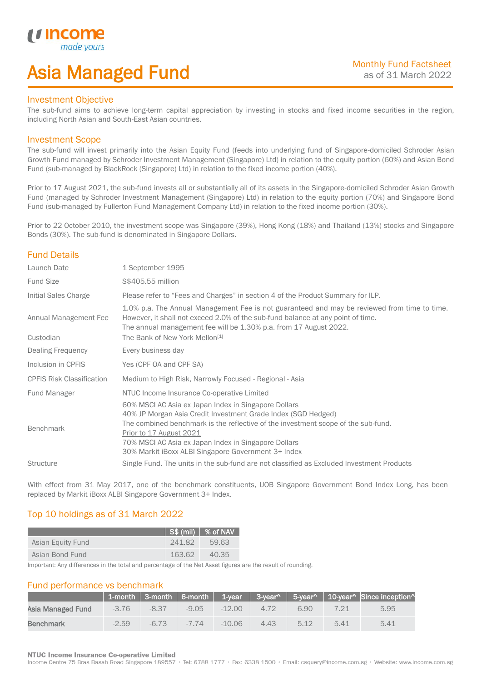## Asia Managed Fund

### Investment Objective

*u* incor

I

The sub-fund aims to achieve long-term capital appreciation by investing in stocks and fixed income securities in the region, including North Asian and South-East Asian countries.

### Investment Scope

The sub-fund will invest primarily into the Asian Equity Fund (feeds into underlying fund of Singapore-domiciled Schroder Asian Growth Fund managed by Schroder Investment Management (Singapore) Ltd) in relation to the equity portion (60%) and Asian Bond Fund (sub-managed by BlackRock (Singapore) Ltd) in relation to the fixed income portion (40%).

Prior to 17 August 2021, the sub-fund invests all or substantially all of its assets in the Singapore-domiciled Schroder Asian Growth Fund (managed by Schroder Investment Management (Singapore) Ltd) in relation to the equity portion (70%) and Singapore Bond Fund (sub-managed by Fullerton Fund Management Company Ltd) in relation to the fixed income portion (30%).

Prior to 22 October 2010, the investment scope was Singapore (39%), Hong Kong (18%) and Thailand (13%) stocks and Singapore Bonds (30%). The sub-fund is denominated in Singapore Dollars.

## Fund Details

| Launch Date                        | 1 September 1995                                                                                                                                                                                                                                                                                                                                     |
|------------------------------------|------------------------------------------------------------------------------------------------------------------------------------------------------------------------------------------------------------------------------------------------------------------------------------------------------------------------------------------------------|
| <b>Fund Size</b>                   | S\$405.55 million                                                                                                                                                                                                                                                                                                                                    |
| Initial Sales Charge               | Please refer to "Fees and Charges" in section 4 of the Product Summary for ILP.                                                                                                                                                                                                                                                                      |
| Annual Management Fee<br>Custodian | 1.0% p.a. The Annual Management Fee is not guaranteed and may be reviewed from time to time.<br>However, it shall not exceed 2.0% of the sub-fund balance at any point of time.<br>The annual management fee will be 1.30% p.a. from 17 August 2022.<br>The Bank of New York Mellon <sup>[1]</sup>                                                   |
| <b>Dealing Frequency</b>           | Every business day                                                                                                                                                                                                                                                                                                                                   |
| Inclusion in CPFIS                 | Yes (CPF OA and CPF SA)                                                                                                                                                                                                                                                                                                                              |
| <b>CPFIS Risk Classification</b>   | Medium to High Risk, Narrowly Focused - Regional - Asia                                                                                                                                                                                                                                                                                              |
| Fund Manager                       | NTUC Income Insurance Co-operative Limited                                                                                                                                                                                                                                                                                                           |
| <b>Benchmark</b>                   | 60% MSCI AC Asia ex Japan Index in Singapore Dollars<br>40% JP Morgan Asia Credit Investment Grade Index (SGD Hedged)<br>The combined benchmark is the reflective of the investment scope of the sub-fund.<br>Prior to 17 August 2021<br>70% MSCI AC Asia ex Japan Index in Singapore Dollars<br>30% Markit iBoxx ALBI Singapore Government 3+ Index |
| Structure                          | Single Fund. The units in the sub-fund are not classified as Excluded Investment Products                                                                                                                                                                                                                                                            |

With effect from 31 May 2017, one of the benchmark constituents, UOB Singapore Government Bond Index Long, has been replaced by Markit iBoxx ALBI Singapore Government 3+ Index.

## Top 10 holdings as of 31 March 2022

|                   |         | $\vert$ S\$ (mil) $\vert$ % of NAV |
|-------------------|---------|------------------------------------|
| Asian Equity Fund | -241.82 | 59.63                              |
| Asian Bond Fund   | 163.62  | 40.35                              |

Important: Any differences in the total and percentage of the Net Asset figures are the result of rounding.

## Fund performance vs benchmark

|                   |         |          |         |          |      |      |      | $\parallel$ 1-month $\parallel$ 3-month $\parallel$ 6-month $\parallel$ 1-year $\parallel$ 3-year^ $\parallel$ 5-year^ $\parallel$ 10-year^ Since inception^ |
|-------------------|---------|----------|---------|----------|------|------|------|--------------------------------------------------------------------------------------------------------------------------------------------------------------|
| Asia Managed Fund | $-3.76$ | $-8.37$  | $-9.05$ | -12.00   | 4.72 | 6.90 |      | 5.95                                                                                                                                                         |
| <b>Benchmark</b>  | $-2.59$ | $-6\,73$ | $-7.74$ | $-10.06$ | 4.43 | 5.12 | 5.41 | 5.41                                                                                                                                                         |

### **NTUC Income Insurance Co-operative Limited**

Income Centre 75 Bras Basah Road Singapore 189557 · Tel: 6788 1777 · Fax: 6338 1500 · Email: csquery@income.com.sg · Website: www.income.com.sg